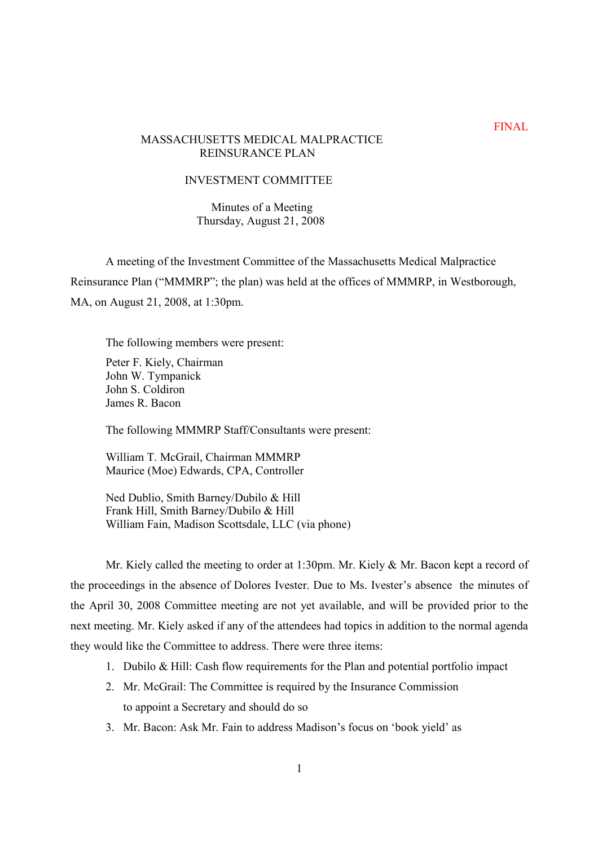# MASSACHUSETTS MEDICAL MALPRACTICE REINSURANCE PLAN

# INVESTMENT COMMITTEE

# Minutes of a Meeting Thursday, August 21, 2008

A meeting of the Investment Committee of the Massachusetts Medical Malpractice Reinsurance Plan ("MMMRP"; the plan) was held at the offices of MMMRP, in Westborough, MA, on August 21, 2008, at 1:30pm.

The following members were present:

Peter F. Kiely, Chairman John W. Tympanick John S. Coldiron James R. Bacon

The following MMMRP Staff/Consultants were present:

William T. McGrail, Chairman MMMRP Maurice (Moe) Edwards, CPA, Controller

Ned Dublio, Smith Barney/Dubilo & Hill Frank Hill, Smith Barney/Dubilo & Hill William Fain, Madison Scottsdale, LLC (via phone)

Mr. Kiely called the meeting to order at 1:30pm. Mr. Kiely & Mr. Bacon kept a record of the proceedings in the absence of Dolores Ivester. Due to Ms. Ivester's absence the minutes of the April 30, 2008 Committee meeting are not yet available, and will be provided prior to the next meeting. Mr. Kiely asked if any of the attendees had topics in addition to the normal agenda they would like the Committee to address. There were three items:

- 1. Dubilo & Hill: Cash flow requirements for the Plan and potential portfolio impact
- 2. Mr. McGrail: The Committee is required by the Insurance Commission to appoint a Secretary and should do so
- 3. Mr. Bacon: Ask Mr. Fain to address Madison's focus on 'book yield' as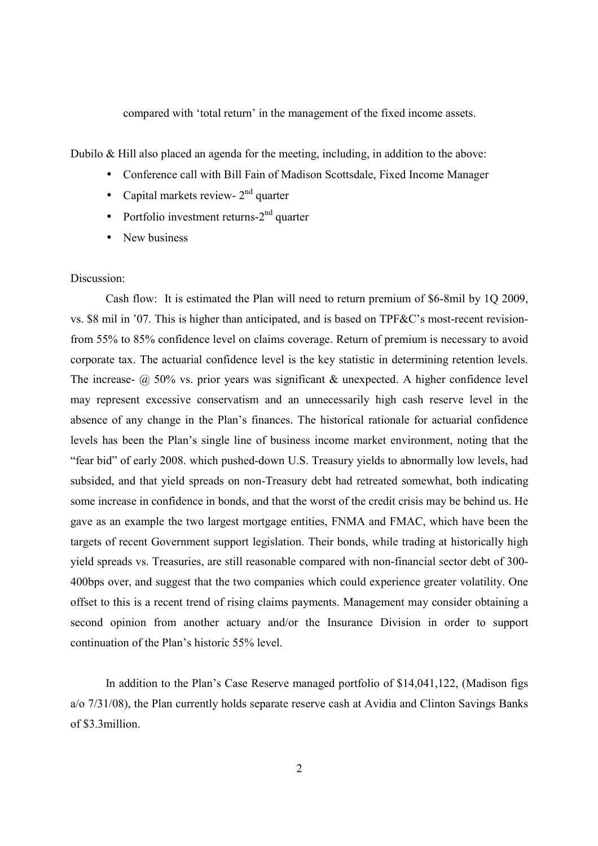compared with 'total return' in the management of the fixed income assets.

Dubilo & Hill also placed an agenda for the meeting, including, in addition to the above:

- Conference call with Bill Fain of Madison Scottsdale, Fixed Income Manager
- Capital markets review-  $2<sup>nd</sup>$  quarter
- Portfolio investment returns- $2<sup>nd</sup>$  quarter
- New business

#### Discussion:

Cash flow: It is estimated the Plan will need to return premium of \$6-8mil by 1Q 2009, vs.  $$8$  mil in  $'07$ . This is higher than anticipated, and is based on TPF&C's most-recent revisionfrom 55% to 85% confidence level on claims coverage. Return of premium is necessary to avoid corporate tax. The actuarial confidence level is the key statistic in determining retention levels. The increase-  $\omega$  50% vs. prior years was significant & unexpected. A higher confidence level may represent excessive conservatism and an unnecessarily high cash reserve level in the absence of any change in the Plan's finances. The historical rationale for actuarial confidence levels has been the Planís single line of business income market environment, noting that the "fear bid" of early 2008. which pushed-down U.S. Treasury yields to abnormally low levels, had subsided, and that yield spreads on non-Treasury debt had retreated somewhat, both indicating some increase in confidence in bonds, and that the worst of the credit crisis may be behind us. He gave as an example the two largest mortgage entities, FNMA and FMAC, which have been the targets of recent Government support legislation. Their bonds, while trading at historically high yield spreads vs. Treasuries, are still reasonable compared with non-financial sector debt of 300- 400bps over, and suggest that the two companies which could experience greater volatility. One offset to this is a recent trend of rising claims payments. Management may consider obtaining a second opinion from another actuary and/or the Insurance Division in order to support continuation of the Plan's historic 55% level.

In addition to the Plan's Case Reserve managed portfolio of \$14,041,122, (Madison figs a/o 7/31/08), the Plan currently holds separate reserve cash at Avidia and Clinton Savings Banks of \$3.3million.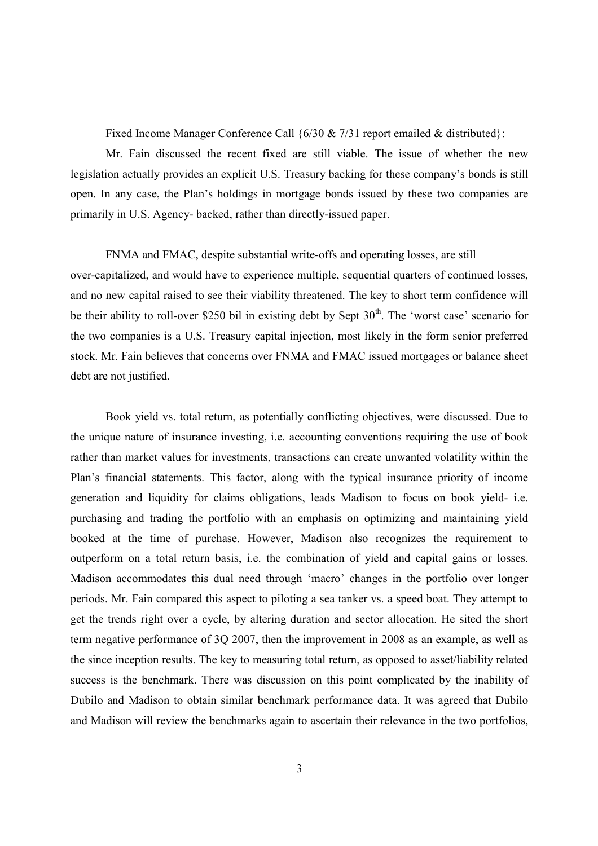Fixed Income Manager Conference Call  $\{6/30 \& 7/31 \text{ report emailed} \& \text{distributed}\}$ :

Mr. Fain discussed the recent fixed are still viable. The issue of whether the new legislation actually provides an explicit U.S. Treasury backing for these company's bonds is still open. In any case, the Planís holdings in mortgage bonds issued by these two companies are primarily in U.S. Agency- backed, rather than directly-issued paper.

FNMA and FMAC, despite substantial write-offs and operating losses, are still over-capitalized, and would have to experience multiple, sequential quarters of continued losses, and no new capital raised to see their viability threatened. The key to short term confidence will be their ability to roll-over \$250 bil in existing debt by Sept 30<sup>th</sup>. The 'worst case' scenario for the two companies is a U.S. Treasury capital injection, most likely in the form senior preferred stock. Mr. Fain believes that concerns over FNMA and FMAC issued mortgages or balance sheet debt are not justified.

Book yield vs. total return, as potentially conflicting objectives, were discussed. Due to the unique nature of insurance investing, i.e. accounting conventions requiring the use of book rather than market values for investments, transactions can create unwanted volatility within the Plan's financial statements. This factor, along with the typical insurance priority of income generation and liquidity for claims obligations, leads Madison to focus on book yield- i.e. purchasing and trading the portfolio with an emphasis on optimizing and maintaining yield booked at the time of purchase. However, Madison also recognizes the requirement to outperform on a total return basis, i.e. the combination of yield and capital gains or losses. Madison accommodates this dual need through 'macro' changes in the portfolio over longer periods. Mr. Fain compared this aspect to piloting a sea tanker vs. a speed boat. They attempt to get the trends right over a cycle, by altering duration and sector allocation. He sited the short term negative performance of 3Q 2007, then the improvement in 2008 as an example, as well as the since inception results. The key to measuring total return, as opposed to asset/liability related success is the benchmark. There was discussion on this point complicated by the inability of Dubilo and Madison to obtain similar benchmark performance data. It was agreed that Dubilo and Madison will review the benchmarks again to ascertain their relevance in the two portfolios,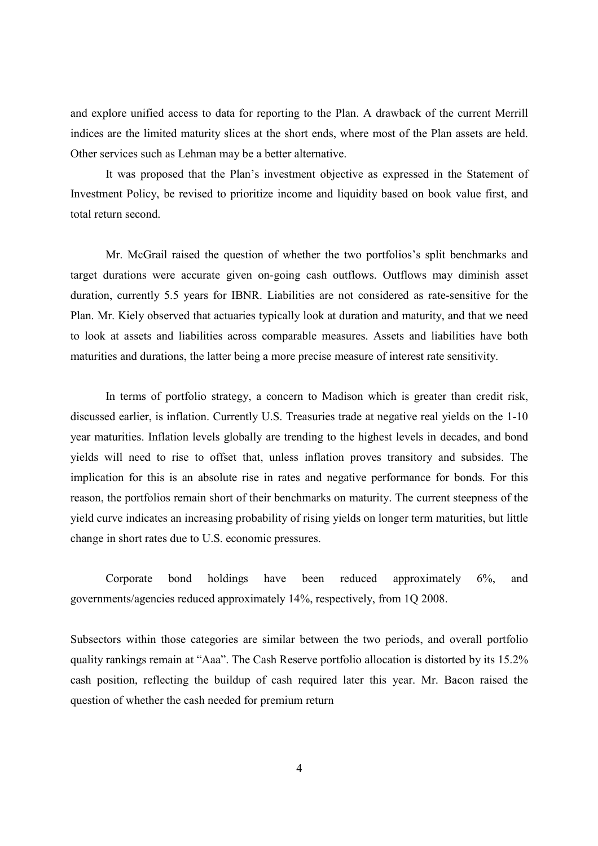and explore unified access to data for reporting to the Plan. A drawback of the current Merrill indices are the limited maturity slices at the short ends, where most of the Plan assets are held. Other services such as Lehman may be a better alternative.

It was proposed that the Plan's investment objective as expressed in the Statement of Investment Policy, be revised to prioritize income and liquidity based on book value first, and total return second.

Mr. McGrail raised the question of whether the two portfolios's split benchmarks and target durations were accurate given on-going cash outflows. Outflows may diminish asset duration, currently 5.5 years for IBNR. Liabilities are not considered as rate-sensitive for the Plan. Mr. Kiely observed that actuaries typically look at duration and maturity, and that we need to look at assets and liabilities across comparable measures. Assets and liabilities have both maturities and durations, the latter being a more precise measure of interest rate sensitivity.

In terms of portfolio strategy, a concern to Madison which is greater than credit risk, discussed earlier, is inflation. Currently U.S. Treasuries trade at negative real yields on the 1-10 year maturities. Inflation levels globally are trending to the highest levels in decades, and bond yields will need to rise to offset that, unless inflation proves transitory and subsides. The implication for this is an absolute rise in rates and negative performance for bonds. For this reason, the portfolios remain short of their benchmarks on maturity. The current steepness of the yield curve indicates an increasing probability of rising yields on longer term maturities, but little change in short rates due to U.S. economic pressures.

Corporate bond holdings have been reduced approximately 6%, and governments/agencies reduced approximately 14%, respectively, from 1Q 2008.

Subsectors within those categories are similar between the two periods, and overall portfolio quality rankings remain at "Aaa". The Cash Reserve portfolio allocation is distorted by its 15.2% cash position, reflecting the buildup of cash required later this year. Mr. Bacon raised the question of whether the cash needed for premium return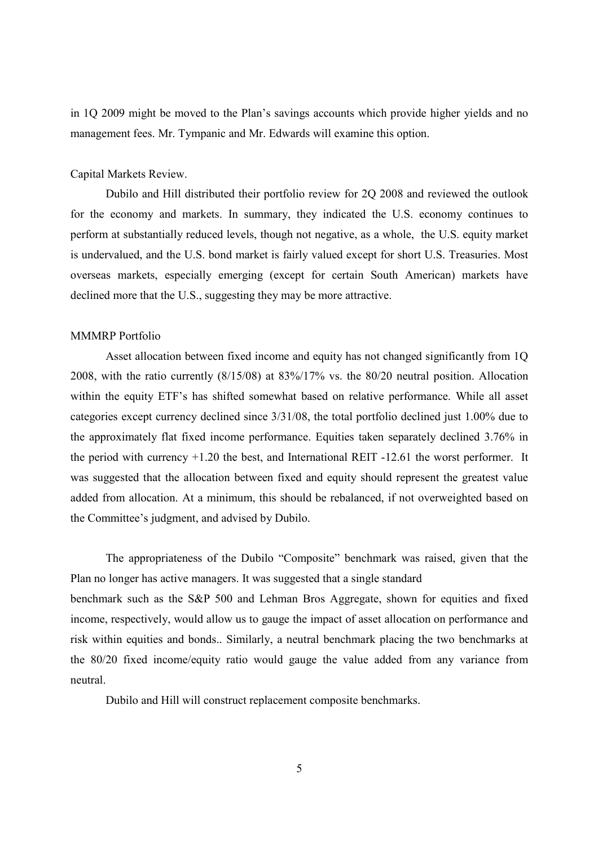in 1Q 2009 might be moved to the Plan's savings accounts which provide higher yields and no management fees. Mr. Tympanic and Mr. Edwards will examine this option.

## Capital Markets Review.

Dubilo and Hill distributed their portfolio review for 2Q 2008 and reviewed the outlook for the economy and markets. In summary, they indicated the U.S. economy continues to perform at substantially reduced levels, though not negative, as a whole, the U.S. equity market is undervalued, and the U.S. bond market is fairly valued except for short U.S. Treasuries. Most overseas markets, especially emerging (except for certain South American) markets have declined more that the U.S., suggesting they may be more attractive.

#### MMMRP Portfolio

Asset allocation between fixed income and equity has not changed significantly from 1Q 2008, with the ratio currently (8/15/08) at 83%/17% vs. the 80/20 neutral position. Allocation within the equity ETF's has shifted somewhat based on relative performance. While all asset categories except currency declined since 3/31/08, the total portfolio declined just 1.00% due to the approximately flat fixed income performance. Equities taken separately declined 3.76% in the period with currency +1.20 the best, and International REIT -12.61 the worst performer. It was suggested that the allocation between fixed and equity should represent the greatest value added from allocation. At a minimum, this should be rebalanced, if not overweighted based on the Committee's judgment, and advised by Dubilo.

The appropriateness of the Dubilo "Composite" benchmark was raised, given that the Plan no longer has active managers. It was suggested that a single standard

benchmark such as the S&P 500 and Lehman Bros Aggregate, shown for equities and fixed income, respectively, would allow us to gauge the impact of asset allocation on performance and risk within equities and bonds.. Similarly, a neutral benchmark placing the two benchmarks at the 80/20 fixed income/equity ratio would gauge the value added from any variance from neutral.

Dubilo and Hill will construct replacement composite benchmarks.